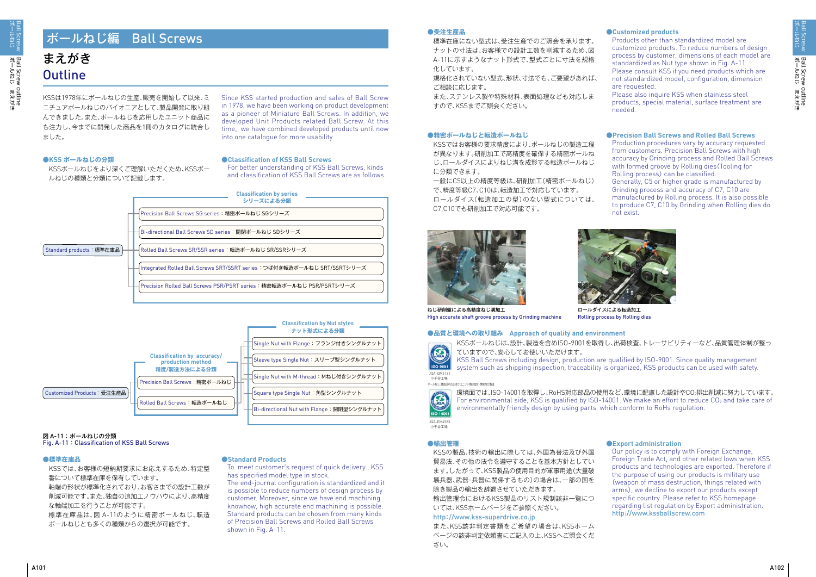# まえがき **Outline**

ポールねじ

KSSは1978年にボールねじの生産、販売を開始して以来、ミ ニチュアボールねじのパイオニアとして、製品開発に取り組 んできました。また、ボールねじを応用したユニット商品に も注力し、今までに開発した商品を1冊のカタログに統合し ました。

Since KSS started production and sales of Ball Screw in 1978, we have been working on product development as a pioneer of Miniature Ball Screws. In addition, we developed Unit Products related Ball Screw. At this time, we have combined developed products until now into one catalogue for more usability.

## **●KSS ボールねじの分類**

KSSボールねじをより深くご理解いただくため、KSSボー ルねじの種類と分類について記載します。

## **●標準在庫品**

KSSでは、お客様の短納期要求にお応えするため、特定型 番について標準在庫を保有しています。 軸端の形状が標準化されており、お客さまでの設計工数が 削減可能です。また、独自の追加工ノウハウにより、高精度 な軸端加工を行うことが可能です。 標準在庫品は、図 A-11のように精密ボールねじ、転造

ボールねじとも多くの種類からの選択が可能です。

#### **●受注生産品**

標準在庫にない型式は、受注生産でのご照会を承ります。 ナットの寸法は、お客様での設計工数を削減するため、図 A-11に示すようなナット形式で、型式ごとに寸法を規格 化しています。

規格化されていない型式、形状、寸法でも、ご要望があれば、 ご相談に応じます。

また、ステンレス製や特殊材料、表面処理なども対応しま すので、KSSまでご照会ください。

#### **●精密ボールねじと転造ボールねじ**

KSSではお客様の要求精度により、ボールねじの製造工程 が異なります。研削加工で高精度を確保する精密ボールね じ、ロールダイスによりねじ溝を成形する転造ボールねじ に分類できます。

一般にC5以上の精度等級は、研削加工(精密ボールねじ) で、精度等級C7、C10は、転造加工で対応しています。 ロールダイス(転造加工の型)のない型式については、 C7,C10でも研削加工で対応可能です。



## **●輸出管理**

KSSの製品、技術の輸出に際しては、外国為替法及び外国 貿易法、その他の法令を遵守することを基本方針としてい ます。したがって、KSS製品の使用目的が軍事用途(大量破 壊兵器、武器・兵器に関係するもの)の場合は、一部の国を 除き製品の輸出を辞退させていただきます。

輸出管理令におけるKSS製品のリスト規制該非一覧につ いては、KSSホームページをご参照ください。 http://www.kss-superdrive.co.jp

また、KSS該非判定書類をご希望の場合は、KSSホーム ページの該非判定依頼書にご記入の上、KSSへご照会くだ さい。

## **●Classification of KSS Ball Screws**

For better understanding of KSS Ball Screws, kinds and classification of KSS Ball Screws are as follows.

> 環境面では、ISO-14001を取得し、RoHS対応部品の使用など、環境に配慮した設計やCO2排出削減に努力しています。 For environmental side, KSS is qualified by ISO-14001. We make an effort to reduce  $CO<sub>2</sub>$  and take care of environmentally friendly design by using parts, which conform to RoHs regulation.

## **●Standard Products**

To meet customer's request of quick delivery , KSS has specified model type in stock.

The end-journal configuration is standardized and it is possible to reduce numbers of design process by customer. Moreover, since we have end machining knowhow, high accurate end machining is possible. Standard products can be chosen from many kinds of Precision Ball Screws and Rolled Ball Screws shown in Fig. A-11.

## **●Customized products**

Products other than standardized model are customized products. To reduce numbers of design process by customer, dimensions of each model are standardized as Nut type shown in Fig. A-11 Please consult KSS if you need products which are not standardized model, configuration, dimension are requested.

Please also inquire KSS when stainless steel products, special material, surface treatment are needed.

## **●Precision Ball Screws and Rolled Ball Screws**

Production procedures vary by accuracy requested from customers. Precision Ball Screws with high accuracy by Grinding process and Rolled Ball Screws with formed groove by Rolling dies (Tooling for Rolling process) can be classified.

Generally, C5 or higher grade is manufactured by Grinding process and accuracy of C7, C10 are manufactured by Rolling process. It is also possible to produce C7, C10 by Grinding when Rolling dies do not exist.

KSSボールねじは、設計、製造を含めISO-9001を取得し、出荷検査、トレーサビリティーなど、品質管理体制が整っ ていますので、安心してお使いいただけます。

KSS Ball Screws including design, production are qualified by ISO-9001. Since quality management system such as shipping inspection, traceability is organized, KSS products can be used with safety.



Rolling process by Rolling dies

ねじ研削盤による高精度ねじ溝加工 High accurate shaft groove process by Grinding machine

# **●品質と環境への取り組み Approach of quality and environment**

## **●Export administration**

Our policy is to comply with Foreign Exchange, Foreign Trade Act, and other related lows when KSS products and technologies are exported. Therefore if the purpose of using our products is military use (weapon of mass destruction, things related with arms), we decline to export our products except specific country. Please refer to KSS homepage regarding list regulation by Export administration. http://www.kssballscrew.com





## 図 A-11 : ボールねじの分類

Fig. A-11: Classification of KSS Ball Screws

# ボールねじ編 Ball Screws

小千谷工場



小千谷工場 JQA-EM4583

ボールねじ、精密送りねじ及びユニット類の設計・開発及び製造

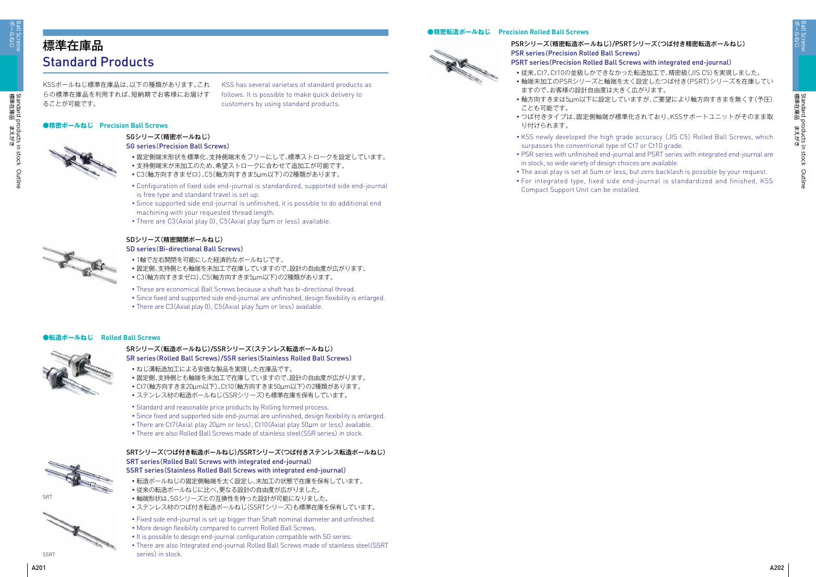ボールねじ Ball Scresw

標準在庫品 まえがき

Standard products in stock Outline

Standard products in stock Outline<br>標準在庫品 まえがき

# 標準在庫品 Standard Products

KSSボールねじ標準在庫品は、以下の種類があります。これ らの標準在庫品を利用すれば、短納期でお客様にお届けす ることが可能です。

KSS has several varieties of standard products as follows. It is possible to make quick delivery to customers by using standard products.

## **●精密ボールねじ Precision Ball Screws**



## SGシリーズ(精密ボールねじ) SG series(Precision Ball Screws)

- ・固定側端末形状を標準化、支持側端末をフリーにして、標準ストロークを設定しています。
- ・支持側端末が未加工のため、希望ストロークに合わせて追加工が可能です。
- ・C3(軸方向すきまゼロ)、C5(軸方向すきま5µm以下)の2種類があります。
- ・ Configuration of fixed side end-journal is standardized, supported side end-journal is free type and standard travel is set up.
- ・ Since supported side end-journal is unfinished, it is possible to do additional end machining with your requested thread length.
- ・ There are C3(Axial play 0), C5(Axial play 5µm or less) available.



- ・1軸で左右開閉を可能にした経済的なボールねじです。
- ・固定側、支持側とも軸端を未加工で在庫していますので、設計の自由度が広がります。
- ・ C3(軸方向すきまゼロ)、C5(軸方向すきま5µm以下)の2種類があります。
- ・ These are economical Ball Screws because a shaft has bi-directional thread.
- ・ Since fixed and supported side end-journal are unfinished, design flexibility is enlarged.
- There are C3(Axial play 0), C5(Axial play 5µm or less) available.

- SRシリーズ(転造ボールねじ)/SSRシリーズ(ステンレス転造ボールねじ) SR series(Rolled Ball Screws)/SSR series(Stainless Rolled Ball Screws)
- ・ねじ溝転造加工による安価な製品を実現した在庫品です。
- ・固定側、支持側とも軸端を未加工で在庫していますので、設計の自由度が広がります。
- ・ Ct7(軸方向すきま20µm以下)、Ct10(軸方向すきま50µm以下)の2種類があります。
- ・ステンレス材の転造ボールねじ(SSRシリーズ)も標準在庫を保有しています。
- ・ Standard and reasonable price products by Rolling formed process.
- ・ Since fixed and supported side end-journal are unfinished, design flexibility is enlarged.
- ・ There are Ct7(Axial play 20µm or less), Ct10(Axial play 50µm or less) available.
- ・ There are also Rolled Ball Screws made of stainless steel(SSR series) in stock.



## SDシリーズ(精密開閉ボールねじ)

SD series(Bi-directional Ball Screws)

## SRTシリーズ(つば付き転造ボールねじ)/SSRTシリーズ(つば付きステンレス転造ボールねじ) SRT series(Rolled Ball Screws with integrated end-journal) SSRT series(Stainless Rolled Ball Screws with integrated end-journal)

- ・転造ボールねじの固定側軸端を太く設定し、未加工の状態で在庫を保有しています。
- ・従来の転造ボールねじに比べ、更なる設計の自由度が広がりました。
- ・軸端形状は、SGシリーズとの互換性を持った設計が可能になりました。
- ・ステンレス材のつば付き転造ボールねじ(SSRTシリーズ)も標準在庫を保有しています。
- ・ Fixed side end-journal is set up bigger than Shaft nominal diameter and unfinished.
- ・ More design flexibility compared to current Rolled Ball Screws.
- ・ It is possible to design end-journal configuration compatible with SG series.
- ・ There are also Integrated end-journal Rolled Ball Screws made of stainless steel(SSRT series) in stock.

## **●精密転造ボールねじ Precision Rolled Ball Screws**



## **●転造ボールねじ Rolled Ball Screws**





## PSRシリーズ(精密転造ボールねじ)/PSRTシリーズ(つば付き精密転造ボールねじ) PSR series(Precision Rolled Ball Screws) PSRT series(Precision Rolled Ball Screws with integrated end-journal)

・従来、Ct7、Ct10の並級しかできなかった転造加工で、精密級(JIS C5)を実現しました。 ・軸端未加工のPSRシリーズと軸端を太く設定したつば付き(PSRT)シリーズを在庫してい

・軸方向すきまは5µm以下に設定していますが、ご要望により軸方向すきまを無くす(予圧)

・つば付きタイプは、固定側軸端が標準化されており、KSSサポートユニットがそのまま取

- 
- ますので、お客様の設計自由度は大きく広がります。
- ことも可能です。
- り付けられます。
- ・ KSS newly developed the high grade accuracy (JIS C5) Rolled Ball Screws, which surpasses the conventional type of Ct7 or Ct10 grade.
- in stock, so wide variety of design choices are available.
- Compact Support Unit can be installed.
- ・ The axial play is set at 5um or less, but zero backlash is possible by your request. ・ For integrated type, fixed side end-journal is standardized and finished, KSS

SSRT

・ PSR series with unfinished end-journal and PSRT series with integrated end-journal are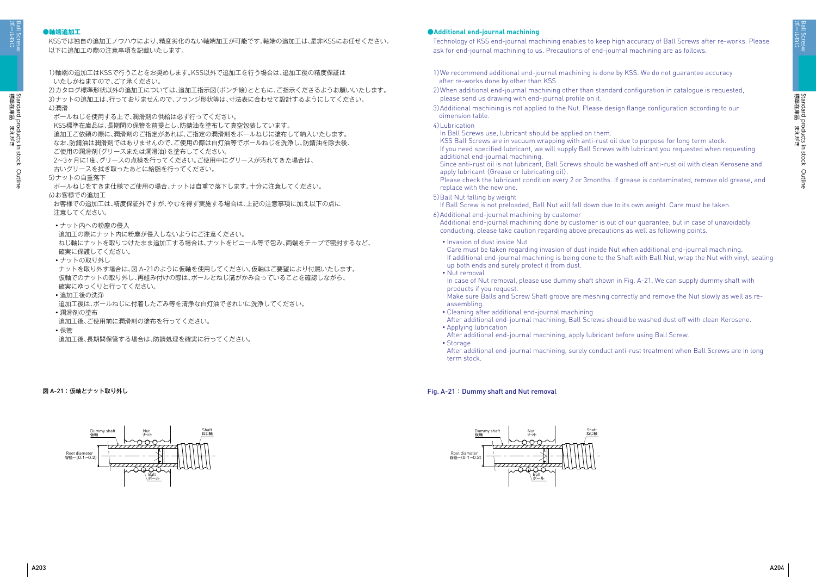ボールねじ Ball Scresw

ポールねじ Ball Scresw

## **●軸端追加工**

KSSでは独自の追加工ノウハウにより、精度劣化のない軸端加工が可能です。軸端の追加工は、是非KSSにお任せください。 以下に追加工の際の注意事項を記載いたします。

## **●Additional end-journal machining**

Technology of KSS end-journal machining enables to keep high accuracy of Ball Screws after re-works. Please ask for end-journal machining to us. Precautions of end-journal machining are as follows.

- 1)軸端の追加工はKSSで行うことをお奨めします。KSS以外で追加工を行う場合は、追加工後の精度保証は いたしかねますので、ご了承ください。 2)カタログ標準形状以外の追加工については、追加工指示図(ポンチ絵)とともに、ご指示くださるようお願いいたします。 3)ナットの追加工は、行っておりませんので、フランジ形状等は、寸法表に合わせて設計するようにしてください。 4)潤滑 ボールねじを使用する上で、潤滑剤の供給は必ず行ってください。 KSS標準在庫品は、長期間の保管を前提とし、防錆油を塗布して真空包装しています。 追加工ご依頼の際に、潤滑剤のご指定があれば、ご指定の潤滑剤をボールねじに塗布して納入いたします。 なお、防錆油は潤滑剤ではありませんので、ご使用の際は白灯油等でボールねじを洗浄し、防錆油を除去後、 ご使用の潤滑剤(グリースまたは潤滑油)を塗布してください。 2~3ヶ月に1度、グリースの点検を行ってください。ご使用中にグリースが汚れてきた場合は、 古いグリースを拭き取ったあとに給脂を行ってください。 5)ナットの自重落下 ボールねじをすきま仕様でご使用の場合、ナットは自重で落下します。十分に注意してください。 6)お客様での追加工 お客様での追加工は、精度保証外ですが、やむを得ず実施する場合は、上記の注意事項に加え以下の点に 注意してください。 ・ナット内への粉塵の侵入 追加工の際にナット内に粉塵が侵入しないようにご注意ください。 ねじ軸にナットを取りつけたまま追加工する場合は、ナットをビニール等で包み、両端をテープで密封するなど、 確実に保護してください。 ・ナットの取り外し ナットを取り外す場合は、図 A-21のように仮軸を使用してください。仮軸はご要望により付属いたします。 仮軸でのナットの取り外し、再組み付けの際は、ボールとねじ溝がかみ合っていることを確認しながら、 確実にゆっくりと行ってください。 ・追加工後の洗浄 追加工後は、ボールねじに付着したごみ等を清浄な白灯油できれいに洗浄してください。 ・潤滑剤の塗布 追加工後、ご使用前に潤滑剤の塗布を行ってください。
- ・保管
- 追加工後、長期間保管する場合は、防錆処理を確実に行ってください。

図 A-21:仮軸とナット取り外し

- 1)We recommend additional end-journal machining is done by KSS. We do not guarantee accuracy after re-works done by other than KSS.
- 2) When additional end-journal machining other than standard configuration in catalogue is requested, please send us drawing with end-journal profile on it.
- 3)Additional machining is not applied to the Nut. Please design flange configuration according to our dimension table.
- 4)Lubrication
- In Ball Screws use, lubricant should be applied on them. KSS Ball Screws are in vacuum wrapping with anti-rust oil due to purpose for long term stock. If you need specified lubricant, we will supply Ball Screws with lubricant you requested when requesting additional end-journal machining.
- Since anti-rust oil is not lubricant, Ball Screws should be washed off anti-rust oil with clean Kerosene and apply lubricant (Grease or lubricating oil).
- Please check the lubricant condition every 2 or 3months. If grease is contaminated, remove old grease, and replace with the new one.
- 5) Ball Nut falling by weight
- If Ball Screw is not preloaded, Ball Nut will fall down due to its own weight. Care must be taken.
- 6) Additional end-journal machining by customer Additional end-journal machining done by customer is out of our guarantee, but in case of unavoidably conducting, please take caution regarding above precautions as well as following points.
	- ・ Invasion of dust inside Nut Care must be taken regarding invasion of dust inside Nut when additional end-journal machining. If additional end-journal machining is being done to the Shaft with Ball Nut, wrap the Nut with vinyl, sealing up both ends and surely protect it from dust.
	- ・Nut removal
	- In case of Nut removal, please use dummy shaft shown in Fig. A-21. We can supply dummy shaft with products if you request.
	- Make sure Balls and Screw Shaft groove are meshing correctly and remove the Nut slowly as well as reassembling.
- ・ Cleaning after additional end-journal machining After additional end-journal machining, Ball Screws should be washed dust off with clean Kerosene. ・Applying lubrication
- After additional end-journal machining, apply lubricant before using Ball Screw. ・Storage
- After additional end-journal machining, surely conduct anti-rust treatment when Ball Screws are in long term stock.

## Fig. A-21 : Dummy shaft and Nut removal



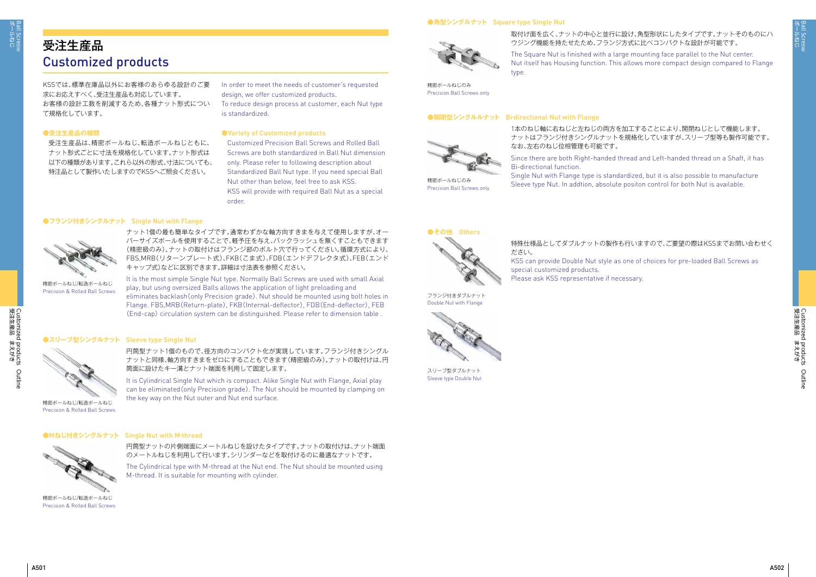

Customized products Outline<br>受注生産品 まえがき 受注生産品 まえがき Customized products Outline

受注生産品は、精密ボールねじ、転造ボールねじともに、 ナット形式ごとに寸法を規格化しています。ナット形式は 以下の種類があります。これら以外の形式、寸法についても、 特注品として製作いたしますのでKSSへご照会ください。

## **●Variety of Customized products**

Customized Precision Ball Screws and Rolled Ball Screws are both standardized in Ball Nut dimension only. Please refer to following description about Standardized Ball Nut type. If you need special Ball Nut other than below, feel free to ask KSS. KSS will provide with required Ball Nut as a special order.

# 受注生産品 Customized products

KSSでは、標準在庫品以外にお客様のあらゆる設計のご要 求にお応えすべく、受注生産品も対応しています。 お客様の設計工数を削減するため、各種ナット形式につい て規格化しています。

## **●受注生産品の種類**

In order to meet the needs of customer's requested design, we offer customized products.

To reduce design process at customer, each Nut type is standardized.

取付け面を広く、ナットの中心と並行に設け、角型形状にしたタイプです。ナットそのものにハ ウジング機能を持たせたため、フランジ方式に比べコンパクトな設計が可能です。

The Square Nut is finished with a large mounting face parallel to the Nut center. Nut itself has Housing function. This allows more compact design compared to Flange type.

### **●角型シングルナット Square type Single Nut**



精密ボールねじのみ Precision Ball Screws only

#### **●開閉型シングルルナット Bi-directional Nut with Flange**

1本のねじ軸に右ねじと左ねじの両方を加工することにより、開閉ねじとして機能します。 ナットはフランジ付きシングルナットを規格化していますが、スリーブ型等も製作可能です。

なお、左右のねじ位相管理も可能です。 Since there are both Right-handed thread and Left-handed thread on a Shaft, it has

Bi-directional function. Single Nut with Flange type is standardized, but it is also possible to manufacture Sleeve type Nut. In addtion, absolute positon control for both Nut is available.

## ●その他 Others



Precision Ball Screws only



ナット1個の最も簡単なタイプです。通常わずかな軸方向すきまを与えて使用しますが、オー バーサイズボールを使用することで、軽予圧を与え、バックラッシュを無くすこともできます (精密級のみ)。ナットの取付けはフランジ部のボルト穴で行ってください。循環方式により、 FBS,MRB(リターンプレート式)、FKB(こま式)、FDB(エンドデフレクタ式)、FEB(エンド キャップ式)などに区別できます。詳細は寸法表を参照ください。

It is the most simple Single Nut type. Normally Ball Screws are used with small Axial play, but using oversized Balls allows the application of light preloading and eliminates backlash(only Precision grade). Nut should be mounted using bolt holes in Flange. FBS,MRB(Return-plate), FKB(Internal-deflector), FDB(End-deflector), FEB (End-cap) circulation system can be distinguished. Please refer to dimension table .

## **●フランジ付きシングルナット Single Nut with Flange**



精密ボールねじ/転造ボールねじ Precision & Rolled Ball Screws

のメートルねじを利用して行います。シリンダーなどを取付けるのに最適なナットです。

円筒型ナットの片側端面にメートルねじを設けたタイプです。ナットの取付けは、ナット端面 **●Mねじ付きシングルナット Single Nut with M‐thread**

> The Cylindrical type with M-thread at the Nut end. The Nut should be mounted using M-thread. It is suitable for mounting with cylinder.



精密ボールねじ/転造ボールねじ Precision & Rolled Ball Screws

円筒型ナット1個のもので、径方向のコンパクト化が実現しています。フランジ付きシングル ナットと同様、軸方向すきまをゼロにすることもできます(精密級のみ)。ナットの取付けは、円 筒面に設けたキー溝とナット端面を利用して固定します。

It is Cylindrical Single Nut which is compact. Alike Single Nut with Flange, Axial play can be eliminated(only Precision grade). The Nut should be mounted by clamping on the key way on the Nut outer and Nut end surface.

## **●スリーブ型シングルナット Sleeve type Single Nut**



精密ボールねじ/転造ボールねじ Precision & Rolled Ball Screws 特殊仕様品としてダブルナットの製作も行いますので、ご要望の際はKSSまでお問い合わせく ださい。 KSS can provide Double Nut style as one of choices for pre-loaded Ball Screws as special customized products. Please ask KSS representative if necessary.

フランジ付きダブルナット Double Nut with Flange



スリーブ型ダブルナット Sleeve type Double Nut